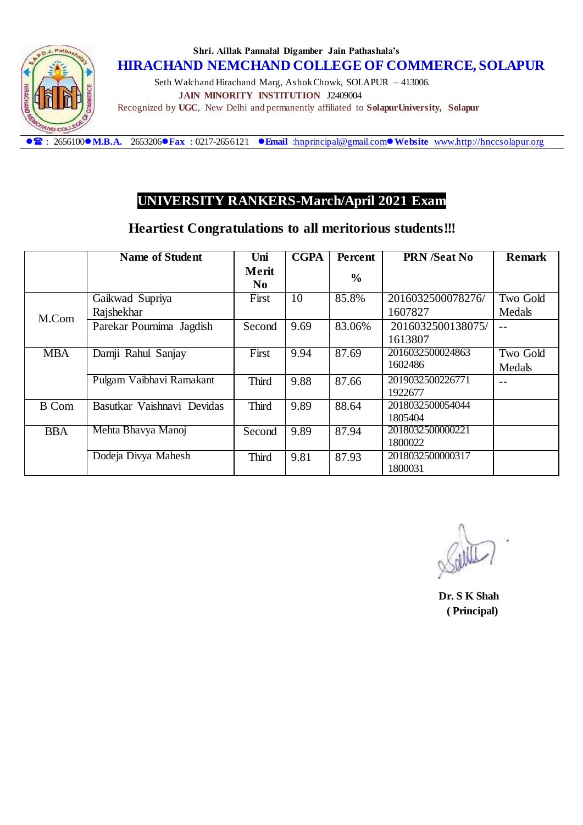

#### **Shri. Aillak Pannalal Digamber Jain Pathashala's HIRACHAND NEMCHAND COLLEGE OF COMMERCE, SOLAPUR**

 Seth Walchand Hirachand Marg, Ashok Chowk, SOLAPUR – 413006.  **JAIN MINORITY INSTITUTION** J2409004 Recognized by **UGC**, New Delhi and permanently affiliated to **SolapurUniversity, Solapur**

: 2656100**M.B.A.** 2653206**Fax** : 0217-2656121 **Email** [:hnprincipal@gmail.com](mailto:hnprincipal@gmail.com)**Website** [www.http://hnccsolapur.org](http://www.http/hnccsolapur.org)

### **UNIVERSITY RANKERS-March/April 2021 Exam**

### **Heartiest Congratulations to all meritorious students!!!**

|              | <b>Name of Student</b>     | Uni                     | <b>CGPA</b> | Percent       | <b>PRN</b> /Seat No          | <b>Remark</b> |
|--------------|----------------------------|-------------------------|-------------|---------------|------------------------------|---------------|
|              |                            | Merit<br>N <sub>0</sub> |             | $\frac{6}{6}$ |                              |               |
|              | Gaikwad Supriya            | First                   | 10          | 85.8%         | 2016032500078276/            | Two Gold      |
| M.Com        | Rajshekhar                 |                         |             |               | 1607827                      | Medals        |
|              | Parekar Pournima Jagdish   | Second                  | 9.69        | 83.06%        | 2016032500138075/<br>1613807 |               |
| <b>MBA</b>   | Damji Rahul Sanjay         | First                   | 9.94        | 87.69         | 2016032500024863             | Two Gold      |
|              |                            |                         |             |               | 1602486                      | Medals        |
|              | Pulgam Vaibhavi Ramakant   | <b>Third</b>            | 9.88        | 87.66         | 2019032500226771<br>1922677  |               |
| <b>B</b> Com | Basutkar Vaishnavi Devidas | <b>Third</b>            | 9.89        | 88.64         | 2018032500054044             |               |
|              |                            |                         |             |               | 1805404                      |               |
| <b>BBA</b>   | Mehta Bhavya Manoj         | Second                  | 9.89        | 87.94         | 2018032500000221             |               |
|              |                            |                         |             |               | 1800022                      |               |
|              | Dodeja Divya Mahesh        | <b>Third</b>            | 9.81        | 87.93         | 2018032500000317             |               |
|              |                            |                         |             |               | 1800031                      |               |

 **Dr. S K Shah ( Principal)**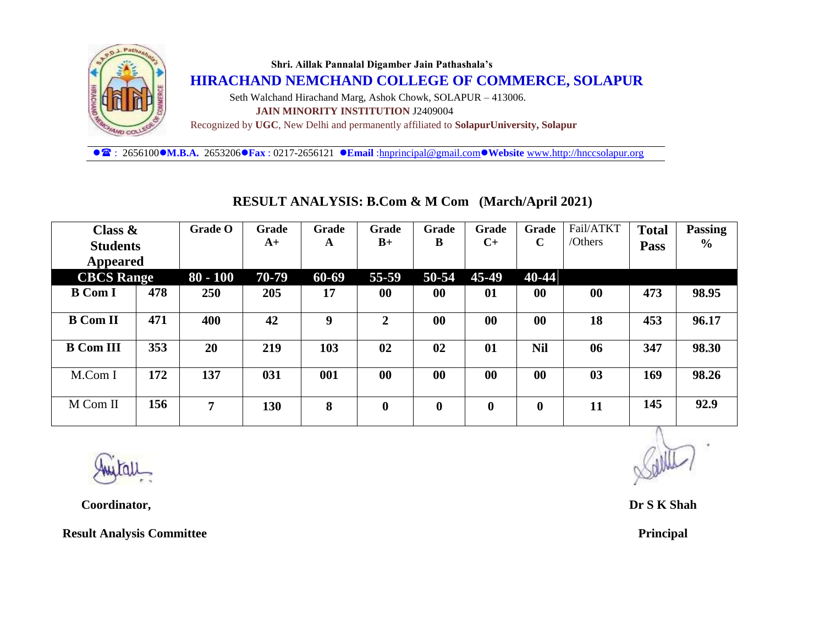

: 2656100**M.B.A.** 2653206**Fax** : 0217-2656121 **Email** [:hnprincipal@gmail.com](mailto:hnprincipal@gmail.com)**Website** [www.http://hnccsolapur.org](http://www.http/hnccsolapur.org)

| Class $\&$        |     | <b>Grade O</b> | Grade | Grade | Grade            | Grade     | Grade        | Grade       | Fail/ATKT      | <b>Total</b> | <b>Passing</b> |
|-------------------|-----|----------------|-------|-------|------------------|-----------|--------------|-------------|----------------|--------------|----------------|
| <b>Students</b>   |     |                | $A+$  | A     | $B+$             | B         | $C+$         | $\mathbf C$ | /Others        | Pass         | $\frac{6}{9}$  |
| Appeared          |     |                |       |       |                  |           |              |             |                |              |                |
| <b>CBCS</b> Range |     | $80 - 100$     | 70-79 | 60-69 | 55-59            | 50-54     | 45-49        | 40-44       |                |              |                |
| <b>B</b> Com I    | 478 | <b>250</b>     | 205   | 17    | $\bf{00}$        | 00        | 01           | 00          | 00             | 473          | 98.95          |
| <b>B</b> Com II   | 471 | 400            | 42    | 9     | $\overline{2}$   | $\bf{00}$ | $\bf{00}$    | $\bf{00}$   | 18             | 453          | 96.17          |
| <b>B</b> Com III  | 353 | 20             | 219   | 103   | 02               | 02        | 01           | <b>Nil</b>  | 06             | 347          | 98.30          |
| M.Com I           | 172 | 137            | 031   | 001   | $\bf{00}$        | $\bf{00}$ | $\bf{00}$    | $\bf{00}$   | 0 <sub>3</sub> | 169          | 98.26          |
| M Com II          | 156 | 7              | 130   | 8     | $\boldsymbol{0}$ | $\bf{0}$  | $\mathbf{0}$ | $\bf{0}$    | 11             | 145          | 92.9           |

#### **RESULT ANALYSIS: B.Com & M Com (March/April 2021)**



 **Coordinator, Dr S K Shah**

 **Result Analysis Committee Principal** *Principal**Principal**Principal*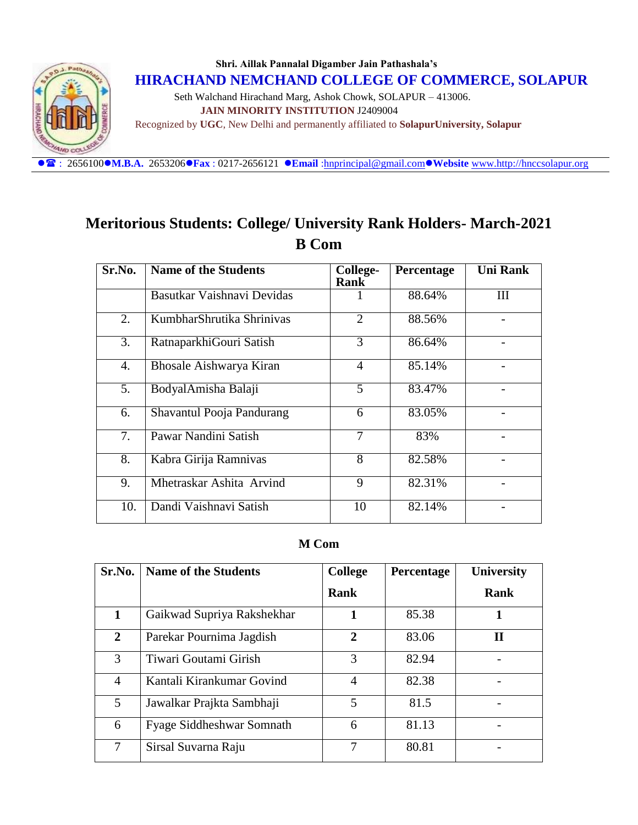

Recognized by **UGC**, New Delhi and permanently affiliated to **SolapurUniversity, Solapur**

: 2656100**M.B.A.** 2653206**Fax** : 0217-2656121 **Email** [:hnprincipal@gmail.com](mailto:hnprincipal@gmail.com)**Website** [www.http://hnccsolapur.org](http://www.http/hnccsolapur.org)

## **Meritorious Students: College/ University Rank Holders- March-2021 B Com**

| Sr.No. | <b>Name of the Students</b> | College-<br><b>Rank</b> | Percentage | <b>Uni Rank</b> |
|--------|-----------------------------|-------------------------|------------|-----------------|
|        | Basutkar Vaishnavi Devidas  |                         | 88.64%     | III             |
| 2.     | KumbharShrutika Shriniyas   | 2                       | 88.56%     |                 |
| 3.     | RatnaparkhiGouri Satish     | 3                       | 86.64%     |                 |
| 4.     | Bhosale Aishwarya Kiran     | 4                       | 85.14%     |                 |
| 5.     | BodyalAmisha Balaji         | 5                       | 83.47%     |                 |
| 6.     | Shavantul Pooja Pandurang   | 6                       | 83.05%     |                 |
| 7.     | Pawar Nandini Satish        | 7                       | 83%        |                 |
| 8.     | Kabra Girija Ramnivas       | 8                       | 82.58%     |                 |
| 9.     | Mhetraskar Ashita Arvind    | 9                       | 82.31%     |                 |
| 10.    | Dandi Vaishnavi Satish      | 10                      | 82.14%     |                 |

#### **M Com**

| Sr.No.         | <b>Name of the Students</b>      | <b>College</b> | Percentage | <b>University</b> |
|----------------|----------------------------------|----------------|------------|-------------------|
|                |                                  | Rank           |            | Rank              |
| 1              | Gaikwad Supriya Rakshekhar       |                | 85.38      | 1                 |
| $\overline{2}$ | Parekar Pournima Jagdish         | 2              | 83.06      | П                 |
| 3              | Tiwari Goutami Girish            | 3              | 82.94      |                   |
| $\overline{A}$ | Kantali Kirankumar Govind        | 4              | 82.38      |                   |
| 5              | Jawalkar Prajkta Sambhaji        | 5              | 81.5       |                   |
| 6              | <b>Fyage Siddheshwar Somnath</b> | 6              | 81.13      |                   |
| 7              | Sirsal Suvarna Raju              | 7              | 80.81      |                   |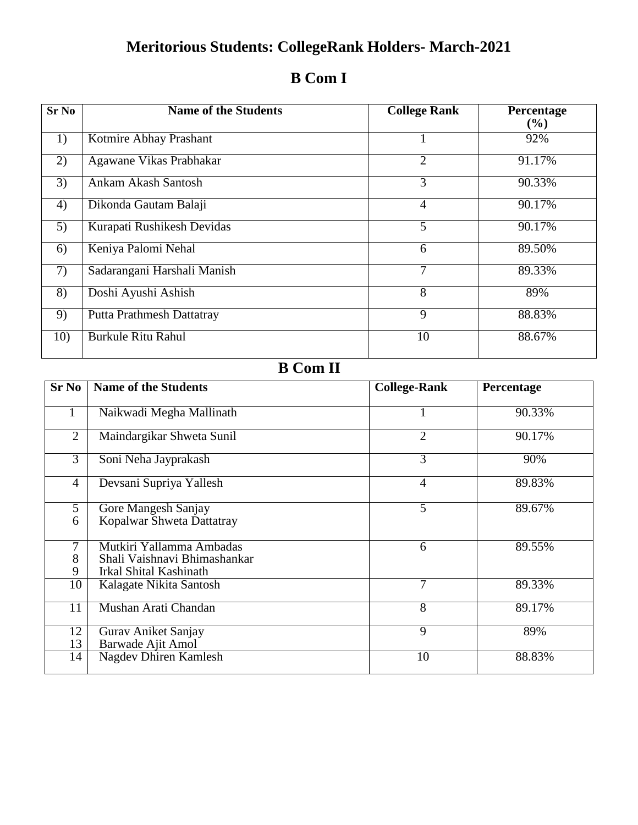# **Meritorious Students: CollegeRank Holders- March-2021**

| <b>Sr No</b> | <b>Name of the Students</b>      | <b>College Rank</b> | <b>Percentage</b><br>(%) |
|--------------|----------------------------------|---------------------|--------------------------|
| 1)           | Kotmire Abhay Prashant           |                     | 92%                      |
| 2)           | Agawane Vikas Prabhakar          | $\overline{2}$      | 91.17%                   |
| 3)           | Ankam Akash Santosh              | 3                   | 90.33%                   |
| 4)           | Dikonda Gautam Balaji            | $\overline{4}$      | 90.17%                   |
| 5)           | Kurapati Rushikesh Devidas       | 5                   | 90.17%                   |
| 6)           | Keniya Palomi Nehal              | 6                   | 89.50%                   |
| 7)           | Sadarangani Harshali Manish      | 7                   | 89.33%                   |
| 8)           | Doshi Ayushi Ashish              | 8                   | 89%                      |
| 9)           | <b>Putta Prathmesh Dattatray</b> | 9                   | 88.83%                   |
| 10)          | <b>Burkule Ritu Rahul</b>        | 10                  | 88.67%                   |

## **B Com I**

# **B Com II**

| $Sr$ No        | <b>Name of the Students</b>                                                        | <b>College-Rank</b> | Percentage |
|----------------|------------------------------------------------------------------------------------|---------------------|------------|
|                | Naikwadi Megha Mallinath                                                           |                     | 90.33%     |
| 2              | Maindargikar Shweta Sunil                                                          | 2                   | 90.17%     |
| $\overline{3}$ | Soni Neha Jayprakash                                                               | 3                   | 90%        |
| $\overline{4}$ | Devsani Supriya Yallesh                                                            | $\overline{4}$      | 89.83%     |
| 5<br>6         | Gore Mangesh Sanjay<br>Kopalwar Shweta Dattatray                                   | 5                   | 89.67%     |
| 7<br>8<br>9    | Mutkiri Yallamma Ambadas<br>Shali Vaishnavi Bhimashankar<br>Irkal Shital Kashinath | 6                   | 89.55%     |
| 10             | Kalagate Nikita Santosh                                                            | 7                   | 89.33%     |
| 11             | Mushan Arati Chandan                                                               | 8                   | 89.17%     |
| 12<br>13       | Gurav Aniket Sanjay<br>Barwade Ajit Amol                                           | $\overline{9}$      | 89%        |
| 14             | Nagdev Dhiren Kamlesh                                                              | 10                  | 88.83%     |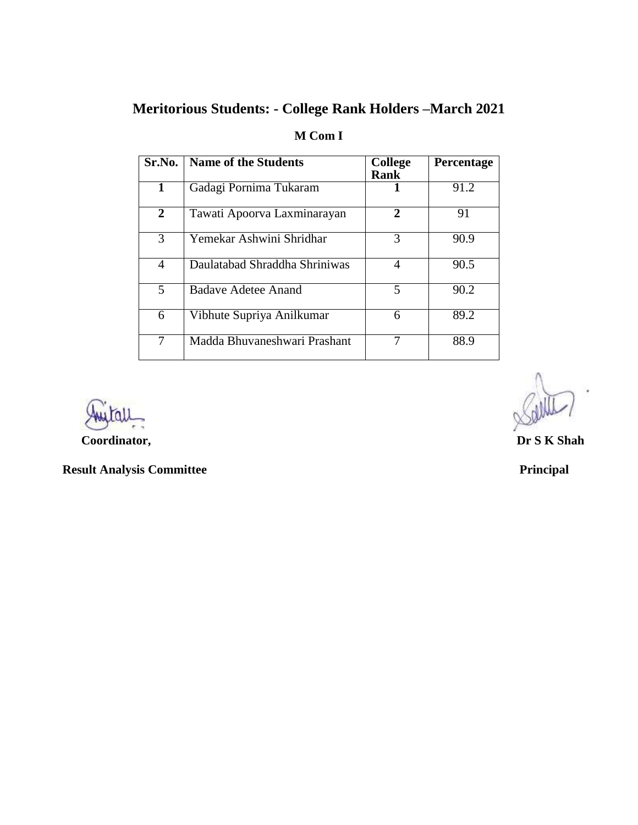## **Meritorious Students: - College Rank Holders –March 2021**

| Sr.No. | <b>Name of the Students</b>   | <b>College</b>        | Percentage |
|--------|-------------------------------|-----------------------|------------|
|        |                               | <b>Rank</b>           |            |
| 1      | Gadagi Pornima Tukaram        |                       | 91.2       |
| 2      | Tawati Apoorva Laxminarayan   | $\mathcal{D}_{\cdot}$ | 91         |
| 3      | Yemekar Ashwini Shridhar      | 3                     | 90.9       |
| 4      | Daulatabad Shraddha Shriniwas | 4                     | 90.5       |
| 5      | <b>Badave Adetee Anand</b>    | 5                     | 90.2       |
| 6      | Vibhute Supriya Anilkumar     | 6                     | 89.2       |
| 7      | Madda Bhuvaneshwari Prashant  |                       | 88.9       |

### **M Com I**

**Coordinator, Dr S K Shah** 

 **Result Analysis Committee Principal** *Principal**Principal*